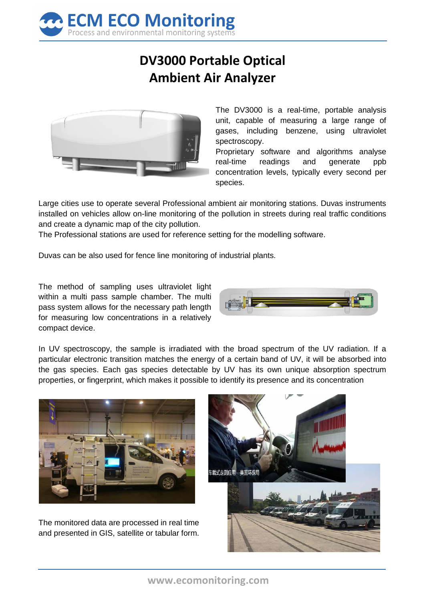

## **DV3000 Portable Optical Ambient Air Analyzer**



The DV3000 is a real-time, portable analysis unit, capable of measuring a large range of gases, including benzene, using ultraviolet spectroscopy.

Proprietary software and algorithms analyse real-time readings and generate ppb concentration levels, typically every second per species.

Large cities use to operate several Professional ambient air monitoring stations. Duvas instruments installed on vehicles allow on-line monitoring of the pollution in streets during real traffic conditions and create a dynamic map of the city pollution.

The Professional stations are used for reference setting for the modelling software.

Duvas can be also used for fence line monitoring of industrial plants.

The method of sampling uses ultraviolet light within a multi pass sample chamber. The multi pass system allows for the necessary path length for measuring low concentrations in a relatively compact device.



In UV spectroscopy, the sample is irradiated with the broad spectrum of the UV radiation. If a particular electronic transition matches the energy of a certain band of UV, it will be absorbed into the gas species. Each gas species detectable by UV has its own unique absorption spectrum properties, or fingerprint, which makes it possible to identify its presence and its concentration



The monitored data are processed in real time and presented in GIS, satellite or tabular form.